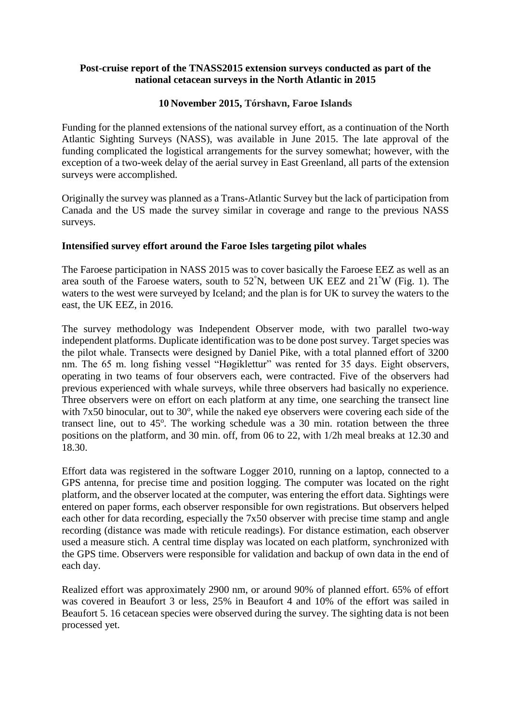## **Post-cruise report of the TNASS2015 extension surveys conducted as part of the national cetacean surveys in the North Atlantic in 2015**

# **10 November 2015, Tórshavn, Faroe Islands**

Funding for the planned extensions of the national survey effort, as a continuation of the North Atlantic Sighting Surveys (NASS), was available in June 2015. The late approval of the funding complicated the logistical arrangements for the survey somewhat; however, with the exception of a two-week delay of the aerial survey in East Greenland, all parts of the extension surveys were accomplished.

Originally the survey was planned as a Trans-Atlantic Survey but the lack of participation from Canada and the US made the survey similar in coverage and range to the previous NASS surveys.

# **Intensified survey effort around the Faroe Isles targeting pilot whales**

The Faroese participation in NASS 2015 was to cover basically the Faroese EEZ as well as an area south of the Faroese waters, south to  $52^{\circ}$ N, between UK EEZ and  $21^{\circ}$ W (Fig. 1). The waters to the west were surveyed by Iceland; and the plan is for UK to survey the waters to the east, the UK EEZ, in 2016.

The survey methodology was Independent Observer mode, with two parallel two-way independent platforms. Duplicate identification was to be done post survey. Target species was the pilot whale. Transects were designed by Daniel Pike, with a total planned effort of 3200 nm. The 65 m. long fishing vessel "Høgiklettur" was rented for 35 days. Eight observers, operating in two teams of four observers each, were contracted. Five of the observers had previous experienced with whale surveys, while three observers had basically no experience. Three observers were on effort on each platform at any time, one searching the transect line with  $7x50$  binocular, out to  $30^{\circ}$ , while the naked eye observers were covering each side of the transect line, out to 45°. The working schedule was a 30 min. rotation between the three positions on the platform, and 30 min. off, from 06 to 22, with 1/2h meal breaks at 12.30 and 18.30.

Effort data was registered in the software Logger 2010, running on a laptop, connected to a GPS antenna, for precise time and position logging. The computer was located on the right platform, and the observer located at the computer, was entering the effort data. Sightings were entered on paper forms, each observer responsible for own registrations. But observers helped each other for data recording, especially the 7x50 observer with precise time stamp and angle recording (distance was made with reticule readings). For distance estimation, each observer used a measure stich. A central time display was located on each platform, synchronized with the GPS time. Observers were responsible for validation and backup of own data in the end of each day.

Realized effort was approximately 2900 nm, or around 90% of planned effort. 65% of effort was covered in Beaufort 3 or less, 25% in Beaufort 4 and 10% of the effort was sailed in Beaufort 5. 16 cetacean species were observed during the survey. The sighting data is not been processed yet.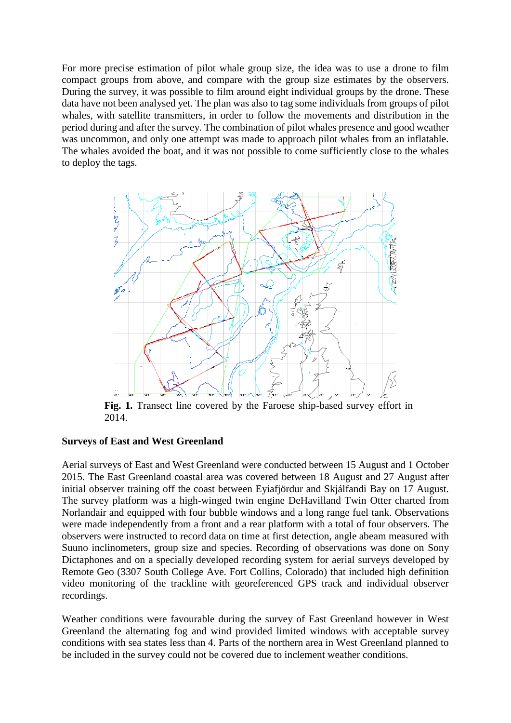For more precise estimation of pilot whale group size, the idea was to use a drone to film compact groups from above, and compare with the group size estimates by the observers. During the survey, it was possible to film around eight individual groups by the drone. These data have not been analysed yet. The plan was also to tag some individuals from groups of pilot whales, with satellite transmitters, in order to follow the movements and distribution in the period during and after the survey. The combination of pilot whales presence and good weather was uncommon, and only one attempt was made to approach pilot whales from an inflatable. The whales avoided the boat, and it was not possible to come sufficiently close to the whales to deploy the tags.



**Fig. 1.** Transect line covered by the Faroese ship-based survey effort in 2014.

## **Surveys of East and West Greenland**

Aerial surveys of East and West Greenland were conducted between 15 August and 1 October 2015. The East Greenland coastal area was covered between 18 August and 27 August after initial observer training off the coast between Eyiafjördur and Skjálfandi Bay on 17 August. The survey platform was a high-winged twin engine DeHavilland Twin Otter charted from Norlandair and equipped with four bubble windows and a long range fuel tank. Observations were made independently from a front and a rear platform with a total of four observers. The observers were instructed to record data on time at first detection, angle abeam measured with Suuno inclinometers, group size and species. Recording of observations was done on Sony Dictaphones and on a specially developed recording system for aerial surveys developed by Remote Geo (3307 South College Ave. Fort Collins, Colorado) that included high definition video monitoring of the trackline with georeferenced GPS track and individual observer recordings.

Weather conditions were favourable during the survey of East Greenland however in West Greenland the alternating fog and wind provided limited windows with acceptable survey conditions with sea states less than 4. Parts of the northern area in West Greenland planned to be included in the survey could not be covered due to inclement weather conditions.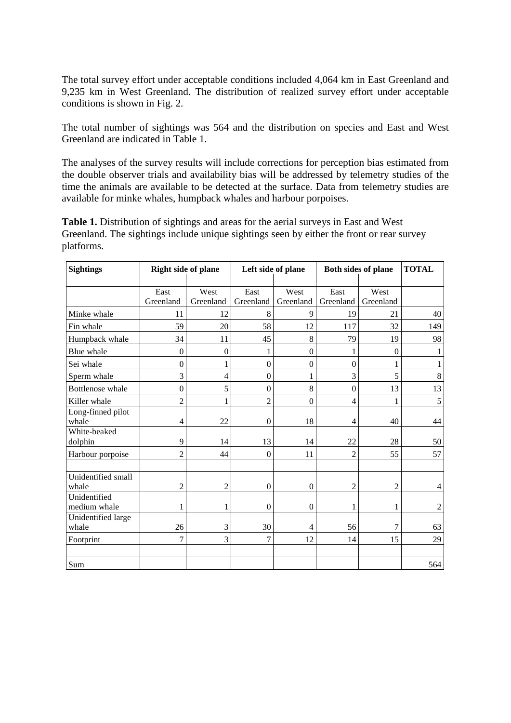The total survey effort under acceptable conditions included 4,064 km in East Greenland and 9,235 km in West Greenland. The distribution of realized survey effort under acceptable conditions is shown in Fig. 2.

The total number of sightings was 564 and the distribution on species and East and West Greenland are indicated in Table 1.

The analyses of the survey results will include corrections for perception bias estimated from the double observer trials and availability bias will be addressed by telemetry studies of the time the animals are available to be detected at the surface. Data from telemetry studies are available for minke whales, humpback whales and harbour porpoises.

**Table 1.** Distribution of sightings and areas for the aerial surveys in East and West Greenland. The sightings include unique sightings seen by either the front or rear survey platforms.

| <b>Sightings</b>             | <b>Right side of plane</b> |           |                  | Left side of plane | Both sides of plane | <b>TOTAL</b>   |         |
|------------------------------|----------------------------|-----------|------------------|--------------------|---------------------|----------------|---------|
|                              |                            |           |                  |                    |                     |                |         |
|                              | East                       | West      | East             | West               | East                | West           |         |
|                              | Greenland                  | Greenland | Greenland        | Greenland          | Greenland           | Greenland      |         |
| Minke whale                  | 11                         | 12        | 8                | 9                  | 19                  | 21             | 40      |
| Fin whale                    | 59                         | 20        | 58               | 12                 | 117                 | 32             | 149     |
| Humpback whale               | 34                         | 11        | 45               | 8                  | 79                  | 19             | 98      |
| Blue whale                   | $\mathbf{0}$               | $\theta$  | 1                | $\mathbf{0}$       |                     | $\overline{0}$ |         |
| Sei whale                    | $\boldsymbol{0}$           | 1         | $\overline{0}$   | $\overline{0}$     | $\theta$            | 1              |         |
| Sperm whale                  | 3                          | 4         | $\boldsymbol{0}$ | 1                  | 3                   | 5              | $\,8\,$ |
| Bottlenose whale             | $\overline{0}$             | 5         | $\overline{0}$   | 8                  | $\mathbf{0}$        | 13             | 13      |
| Killer whale                 | $\overline{2}$             |           | $\overline{2}$   | $\mathbf{0}$       | $\overline{4}$      |                | 5       |
| Long-finned pilot<br>whale   | 4                          | 22        | $\boldsymbol{0}$ | 18                 | 4                   | 40             | 44      |
| White-beaked                 |                            |           |                  |                    |                     |                |         |
| dolphin                      | 9                          | 14        | 13               | 14                 | 22                  | 28             | 50      |
| Harbour porpoise             | $\overline{c}$             | 44        | $\overline{0}$   | 11                 | $\overline{2}$      | 55             | 57      |
|                              |                            |           |                  |                    |                     |                |         |
| Unidentified small           |                            |           |                  |                    |                     |                |         |
| whale                        | $\overline{c}$             | 2         | $\boldsymbol{0}$ | $\boldsymbol{0}$   | $\overline{2}$      | $\overline{2}$ | 4       |
| Unidentified<br>medium whale |                            | 1         | $\boldsymbol{0}$ | $\boldsymbol{0}$   |                     | 1              |         |
| Unidentified large           |                            |           |                  |                    |                     |                | 2       |
| whale                        | 26                         | 3         | 30               | 4                  | 56                  | 7              | 63      |
| Footprint                    | 7                          | 3         | $\overline{7}$   | 12                 | 14                  | 15             | 29      |
|                              |                            |           |                  |                    |                     |                |         |
| Sum                          |                            |           |                  |                    |                     |                | 564     |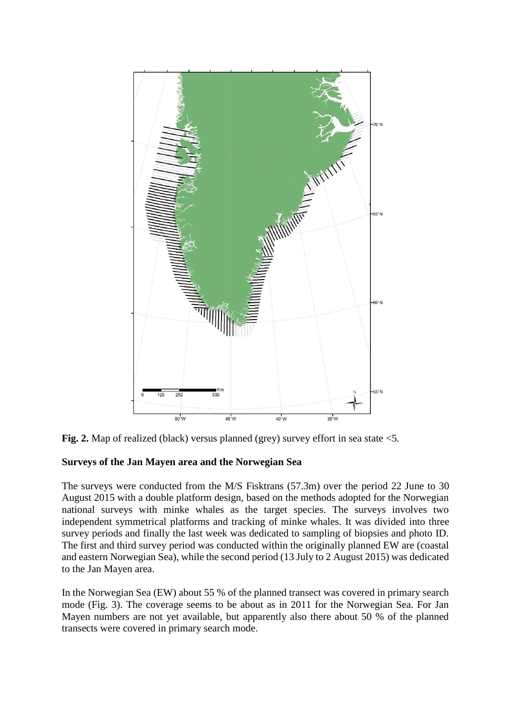



# **Surveys of the Jan Mayen area and the Norwegian Sea**

The surveys were conducted from the M/S Fisktrans (57.3m) over the period 22 June to 30 August 2015 with a double platform design, based on the methods adopted for the Norwegian national surveys with minke whales as the target species. The surveys involves two independent symmetrical platforms and tracking of minke whales. It was divided into three survey periods and finally the last week was dedicated to sampling of biopsies and photo ID. The first and third survey period was conducted within the originally planned EW are (coastal and eastern Norwegian Sea), while the second period (13 July to 2 August 2015) was dedicated to the Jan Mayen area.

In the Norwegian Sea (EW) about 55 % of the planned transect was covered in primary search mode (Fig. 3). The coverage seems to be about as in 2011 for the Norwegian Sea. For Jan Mayen numbers are not yet available, but apparently also there about 50 % of the planned transects were covered in primary search mode.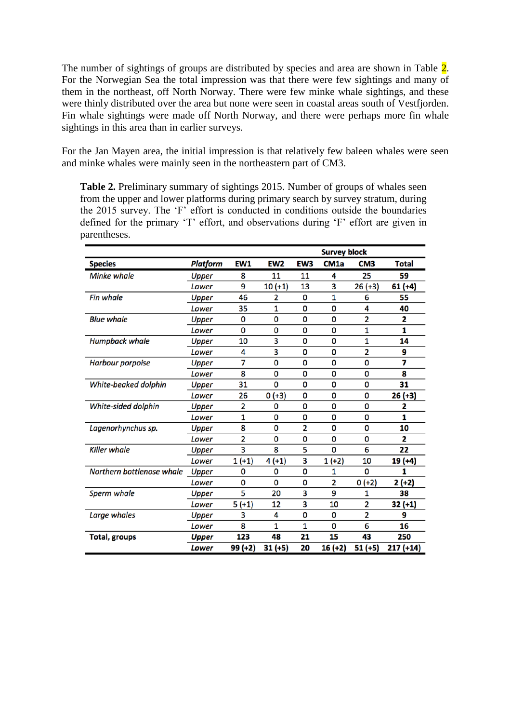The number of sightings of groups are distributed by species and area are shown in Table 2. For the Norwegian Sea the total impression was that there were few sightings and many of them in the northeast, off North Norway. There were few minke whale sightings, and these were thinly distributed over the area but none were seen in coastal areas south of Vestfjorden. Fin whale sightings were made off North Norway, and there were perhaps more fin whale sightings in this area than in earlier surveys.

For the Jan Mayen area, the initial impression is that relatively few baleen whales were seen and minke whales were mainly seen in the northeastern part of CM3.

**Table 2.** Preliminary summary of sightings 2015. Number of groups of whales seen from the upper and lower platforms during primary search by survey stratum, during the 2015 survey. The 'F' effort is conducted in conditions outside the boundaries defined for the primary 'T' effort, and observations during 'F' effort are given in parentheses.

|                           |                 |          |                 | <b>Survey block</b> |                  |                 |              |  |  |
|---------------------------|-----------------|----------|-----------------|---------------------|------------------|-----------------|--------------|--|--|
| <b>Species</b>            | <b>Platform</b> | EW1      | EW <sub>2</sub> | EW3                 | CM <sub>1a</sub> | CM <sub>3</sub> | <b>Total</b> |  |  |
| <b>Minke whale</b>        | Upper           | 8        | 11              | 11                  | 4                | 25              | 59           |  |  |
|                           | Lower           | 9        | $10 (+1)$       | 13                  | 3                | $26 (+3)$       | $61 (+4)$    |  |  |
| <b>Fin whale</b>          | Upper           | 46       | 2               | 0                   | 1                | 6               | 55           |  |  |
|                           | Lower           | 35       | 1               | 0                   | 0                | 4               | 40           |  |  |
| <b>Blue whale</b>         | <b>Upper</b>    | 0        | 0               | 0                   | 0                | 2               | 2            |  |  |
|                           | Lower           | 0        | 0               | 0                   | 0                | 1               | 1            |  |  |
| <b>Humpback whale</b>     | Upper           | 10       | 3               | 0                   | 0                | 1               | 14           |  |  |
|                           | Lower           | 4        | 3               | 0                   | 0                | $\overline{2}$  | 9            |  |  |
| <b>Harbour porpoise</b>   | Upper           | 7        | 0               | 0                   | 0                | 0               | 7            |  |  |
|                           | Lower           | 8        | 0               | 0                   | 0                | 0               | 8            |  |  |
| White-beaked dolphin      | <b>Upper</b>    | 31       | 0               | 0                   | 0                | 0               | 31           |  |  |
|                           | Lower           | 26       | $0 (+3)$        | 0                   | 0                | 0               | 26 (+3)      |  |  |
| White-sided dolphin       | Upper           | 2        | 0               | 0                   | 0                | 0               | 2            |  |  |
|                           | Lower           | 1        | 0               | 0                   | 0                | 0               | 1            |  |  |
| Lagenorhynchus sp.        | Upper           | 8        | 0               | 2                   | 0                | 0               | 10           |  |  |
|                           | Lower           | 2        | 0               | 0                   | 0                | 0               | 2            |  |  |
| <b>Killer whale</b>       | Upper           | 3        | 8               | 5                   | 0                | 6               | 22           |  |  |
|                           | Lower           | $1 (+1)$ | $4(+1)$         | 3                   | $1 (+2)$         | 10              | 19 (+4)      |  |  |
| Northern bottlenose whale | <b>Upper</b>    | 0        | 0               | 0                   | 1                | 0               |              |  |  |
|                           | Lower           | 0        | 0               | 0                   | $\overline{2}$   | $0 (+2)$        | $2 (+2)$     |  |  |
| <b>Sperm whale</b>        | Upper           | 5        | 20              | 3                   | 9                | 1               | 38           |  |  |
|                           | Lower           | $5(+1)$  | 12              | 3                   | 10               | 2               | 32 (+1)      |  |  |
| Large whales              | Upper           | 3        | 4               | 0                   | 0                | 2               | 9            |  |  |
|                           | Lower           | 8        | 1               | 1                   | 0                | 6               | 16           |  |  |
| <b>Total, groups</b>      | Upper           | 123      | 48              | 21                  | 15               | 43              | 250          |  |  |
|                           | <b>Lower</b>    | 99 (+2)  | $31 (+5)$       | 20                  | $16 (+2)$        | 51 (+5)         | $217 (+14)$  |  |  |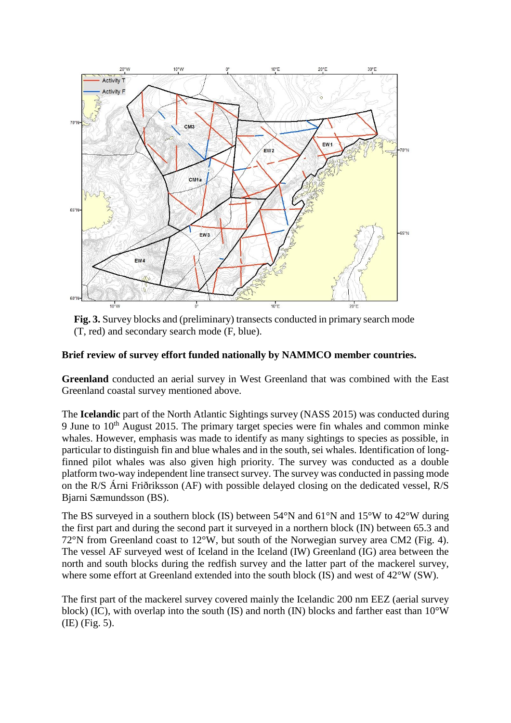

**Fig. 3.** Survey blocks and (preliminary) transects conducted in primary search mode (T, red) and secondary search mode (F, blue).

## **Brief review of survey effort funded nationally by NAMMCO member countries.**

**Greenland** conducted an aerial survey in West Greenland that was combined with the East Greenland coastal survey mentioned above.

The **Icelandic** part of the North Atlantic Sightings survey (NASS 2015) was conducted during 9 June to  $10<sup>th</sup>$  August 2015. The primary target species were fin whales and common minke whales. However, emphasis was made to identify as many sightings to species as possible, in particular to distinguish fin and blue whales and in the south, sei whales. Identification of longfinned pilot whales was also given high priority. The survey was conducted as a double platform two-way independent line transect survey. The survey was conducted in passing mode on the R/S Árni Friðriksson (AF) with possible delayed closing on the dedicated vessel, R/S Bjarni Sæmundsson (BS).

The BS surveyed in a southern block (IS) between  $54^{\circ}$ N and  $61^{\circ}$ N and  $15^{\circ}$ W to  $42^{\circ}$ W during the first part and during the second part it surveyed in a northern block (IN) between 65.3 and 72°N from Greenland coast to 12°W, but south of the Norwegian survey area CM2 (Fig. 4). The vessel AF surveyed west of Iceland in the Iceland (IW) Greenland (IG) area between the north and south blocks during the redfish survey and the latter part of the mackerel survey, where some effort at Greenland extended into the south block (IS) and west of 42°W (SW).

The first part of the mackerel survey covered mainly the Icelandic 200 nm EEZ (aerial survey block) (IC), with overlap into the south (IS) and north (IN) blocks and farther east than 10°W (IE) (Fig. 5).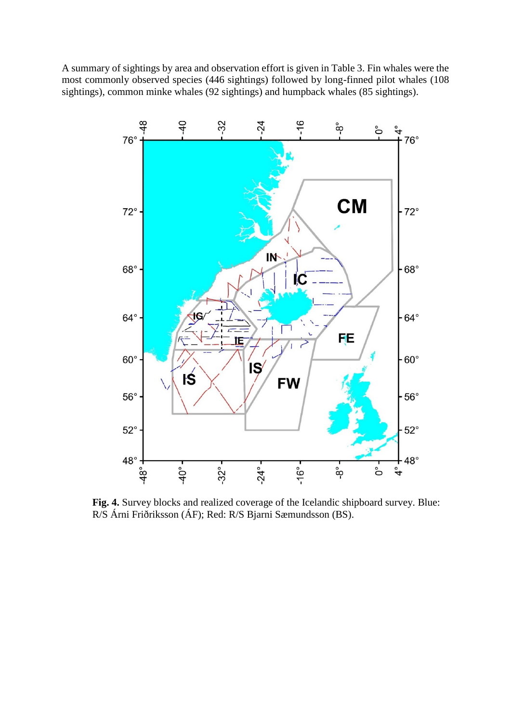A summary of sightings by area and observation effort is given in Table 3. Fin whales were the most commonly observed species (446 sightings) followed by long-finned pilot whales (108 sightings), common minke whales (92 sightings) and humpback whales (85 sightings).



**Fig. 4.** Survey blocks and realized coverage of the Icelandic shipboard survey. Blue: R/S Árni Friðriksson (ÁF); Red: R/S Bjarni Sæmundsson (BS).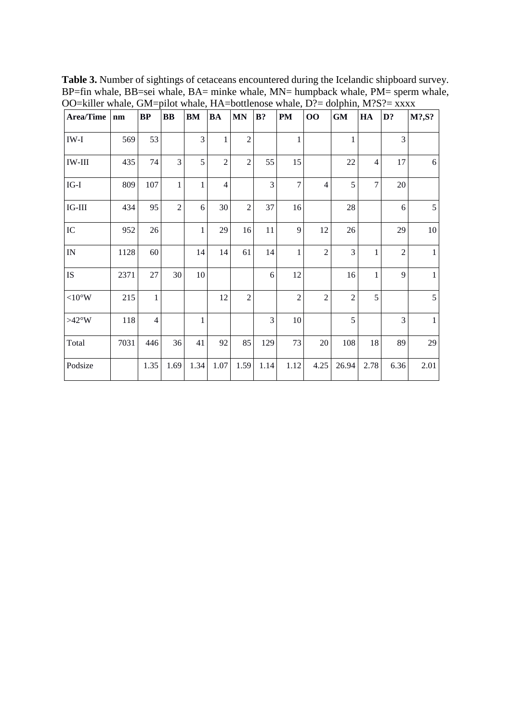**Table 3.** Number of sightings of cetaceans encountered during the Icelandic shipboard survey. BP=fin whale, BB=sei whale, BA= minke whale, MN= humpback whale, PM= sperm whale, OO=killer whale, GM=pilot whale, HA=bottlenose whale, D?= dolphin, M?S?= xxxx

| <b>Area/Time</b>         | nm   | BP             | $\bf BB$       | BM   | <b>BA</b>      | <b>MN</b>      | $B$ ?          | $\mathbf{PM}$  | 00             | GM             | HA             | D?             | M?, S?       |
|--------------------------|------|----------------|----------------|------|----------------|----------------|----------------|----------------|----------------|----------------|----------------|----------------|--------------|
| IW-I                     | 569  | 53             |                | 3    | $\mathbf{1}$   | $\overline{2}$ |                | 1              |                | 1              |                | 3              |              |
| $IW-III$                 | 435  | 74             | 3              | 5    | $\overline{c}$ | $\overline{2}$ | 55             | 15             |                | 22             | $\overline{4}$ | 17             | 6            |
| $IG-I$                   | 809  | 107            | $\mathbf{1}$   | 1    | $\overline{4}$ |                | $\overline{3}$ | $\overline{7}$ | $\overline{4}$ | 5              | $\overline{7}$ | 20             |              |
| $IG-III$                 | 434  | 95             | $\overline{2}$ | 6    | 30             | $\overline{2}$ | 37             | 16             |                | 28             |                | 6              | 5            |
| ${\rm IC}$               | 952  | 26             |                | 1    | 29             | 16             | 11             | 9              | 12             | 26             |                | 29             | 10           |
| $\ensuremath{\text{IN}}$ | 1128 | 60             |                | 14   | 14             | 61             | 14             | 1              | $\overline{2}$ | $\overline{3}$ | $\mathbf{1}$   | $\overline{2}$ | $\mathbf{1}$ |
| IS                       | 2371 | 27             | 30             | 10   |                |                | 6              | 12             |                | 16             | $\mathbf{1}$   | 9              | $\mathbf{1}$ |
| ${<}10^{\circ}\rm{W}$    | 215  | $\mathbf{1}$   |                |      | 12             | $\overline{2}$ |                | $\overline{c}$ | $\overline{c}$ | $\overline{2}$ | 5              |                | 5            |
| $>42^{\circ}W$           | 118  | $\overline{4}$ |                | 1    |                |                | 3              | 10             |                | 5              |                | 3              | $\mathbf{1}$ |
| Total                    | 7031 | 446            | 36             | 41   | 92             | 85             | 129            | 73             | 20             | 108            | 18             | 89             | 29           |
| Podsize                  |      | 1.35           | 1.69           | 1.34 | 1.07           | 1.59           | 1.14           | 1.12           | 4.25           | 26.94          | 2.78           | 6.36           | 2.01         |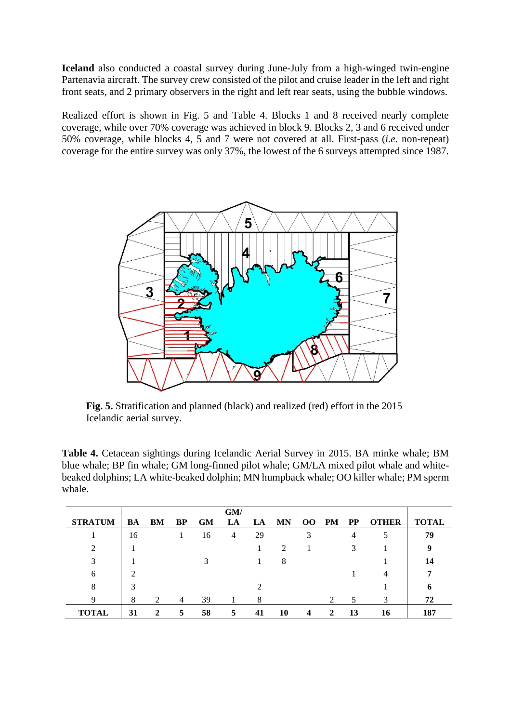**Iceland** also conducted a coastal survey during June-July from a high-winged twin-engine Partenavia aircraft. The survey crew consisted of the pilot and cruise leader in the left and right front seats, and 2 primary observers in the right and left rear seats, using the bubble windows.

Realized effort is shown in Fig. 5 and Table 4. Blocks 1 and 8 received nearly complete coverage, while over 70% coverage was achieved in block 9. Blocks 2, 3 and 6 received under 50% coverage, while blocks 4, 5 and 7 were not covered at all. First-pass (*i.e*. non-repeat) coverage for the entire survey was only 37%, the lowest of the 6 surveys attempted since 1987.



**Fig. 5.** Stratification and planned (black) and realized (red) effort in the 2015 Icelandic aerial survey.

**Table 4.** Cetacean sightings during Icelandic Aerial Survey in 2015. BA minke whale; BM blue whale; BP fin whale; GM long-finned pilot whale; GM/LA mixed pilot whale and whitebeaked dolphins; LA white-beaked dolphin; MN humpback whale; OO killer whale; PM sperm whale.

|                |    |    |                |           | GM/ |    |                |    |           |           |              |              |
|----------------|----|----|----------------|-----------|-----|----|----------------|----|-----------|-----------|--------------|--------------|
| <b>STRATUM</b> | BA | BM | BP             | <b>GM</b> | LA  | LA | <b>MN</b>      | 00 | <b>PM</b> | <b>PP</b> | <b>OTHER</b> | <b>TOTAL</b> |
|                | 16 |    |                | 16        | 4   | 29 |                | 3  |           | 4         |              | 79           |
| ↑              |    |    |                |           |     |    | $\mathfrak{D}$ |    |           |           |              | 9            |
| 3              |    |    |                | 3         |     |    | 8              |    |           |           |              | 14           |
| 6              | ി  |    |                |           |     |    |                |    |           |           | 4            |              |
| 8              | 3  |    |                |           |     |    |                |    |           |           |              | n            |
| Q              | 8  | 2  | $\overline{4}$ | 39        |     | 8  |                |    | っ         | 5         | 3            | 72           |
| <b>TOTAL</b>   | 31 | 2  | 5              | 58        | 5   | 41 | 10             | 4  | 2         | 13        | 16           | 187          |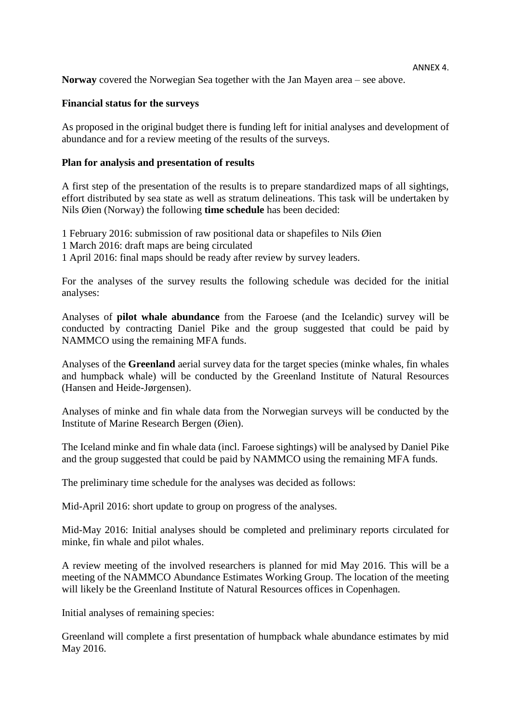**Norway** covered the Norwegian Sea together with the Jan Mayen area – see above.

#### **Financial status for the surveys**

As proposed in the original budget there is funding left for initial analyses and development of abundance and for a review meeting of the results of the surveys.

#### **Plan for analysis and presentation of results**

A first step of the presentation of the results is to prepare standardized maps of all sightings, effort distributed by sea state as well as stratum delineations. This task will be undertaken by Nils Øien (Norway) the following **time schedule** has been decided:

1 February 2016: submission of raw positional data or shapefiles to Nils Øien

- 1 March 2016: draft maps are being circulated
- 1 April 2016: final maps should be ready after review by survey leaders.

For the analyses of the survey results the following schedule was decided for the initial analyses:

Analyses of **pilot whale abundance** from the Faroese (and the Icelandic) survey will be conducted by contracting Daniel Pike and the group suggested that could be paid by NAMMCO using the remaining MFA funds.

Analyses of the **Greenland** aerial survey data for the target species (minke whales, fin whales and humpback whale) will be conducted by the Greenland Institute of Natural Resources (Hansen and Heide-Jørgensen).

Analyses of minke and fin whale data from the Norwegian surveys will be conducted by the Institute of Marine Research Bergen (Øien).

The Iceland minke and fin whale data (incl. Faroese sightings) will be analysed by Daniel Pike and the group suggested that could be paid by NAMMCO using the remaining MFA funds.

The preliminary time schedule for the analyses was decided as follows:

Mid-April 2016: short update to group on progress of the analyses.

Mid-May 2016: Initial analyses should be completed and preliminary reports circulated for minke, fin whale and pilot whales.

A review meeting of the involved researchers is planned for mid May 2016. This will be a meeting of the NAMMCO Abundance Estimates Working Group. The location of the meeting will likely be the Greenland Institute of Natural Resources offices in Copenhagen.

Initial analyses of remaining species:

Greenland will complete a first presentation of humpback whale abundance estimates by mid May 2016.